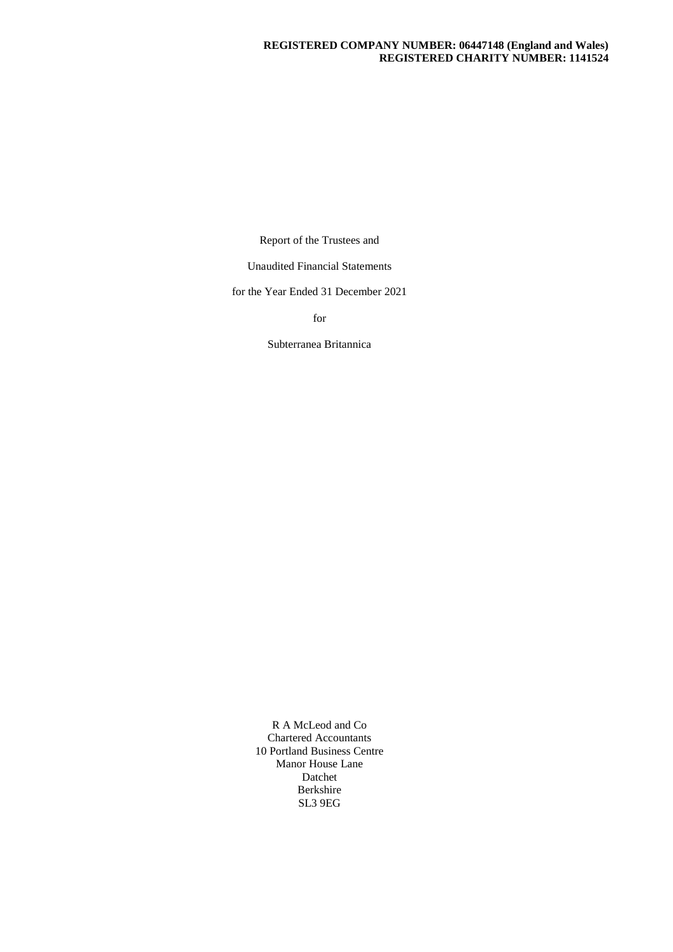# **REGISTERED COMPANY NUMBER: 06447148 (England and Wales) REGISTERED CHARITY NUMBER: 1141524**

Report of the Trustees and

Unaudited Financial Statements

for the Year Ended 31 December 2021

for

Subterranea Britannica

R A McLeod and Co Chartered Accountants 10 Portland Business Centre Manor House Lane Datchet Berkshire SL3 9EG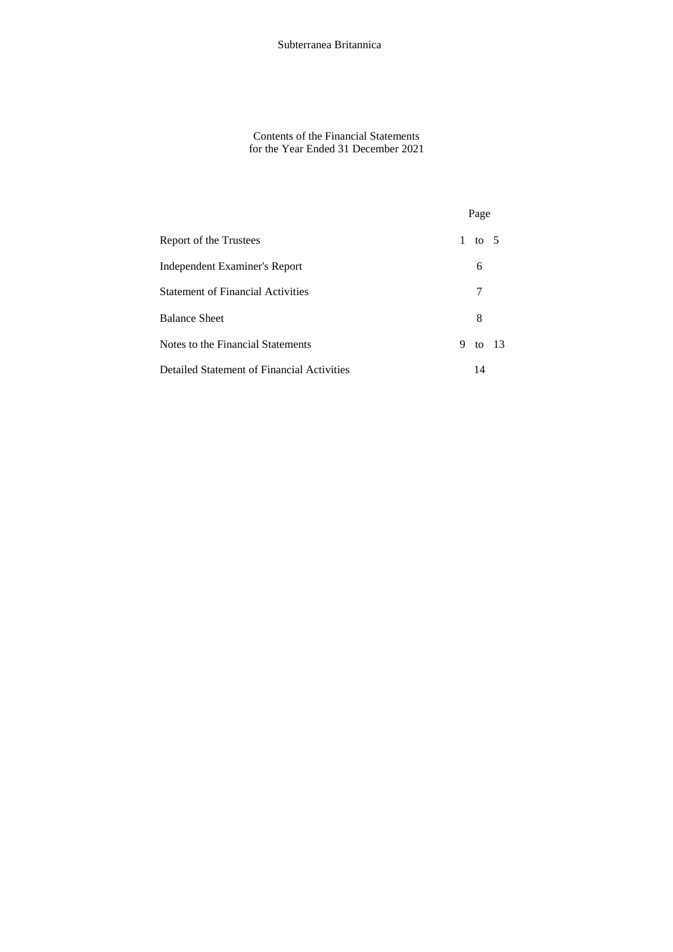Contents of the Financial Statements for the Year Ended 31 December 2021

|                                            |              | Page |     |
|--------------------------------------------|--------------|------|-----|
| Report of the Trustees                     | $\mathbf{1}$ | to 5 |     |
| Independent Examiner's Report              |              | 6    |     |
| <b>Statement of Financial Activities</b>   |              | 7    |     |
| <b>Balance Sheet</b>                       |              | 8    |     |
| Notes to the Financial Statements          | 9            | to   | -13 |
| Detailed Statement of Financial Activities |              | 14   |     |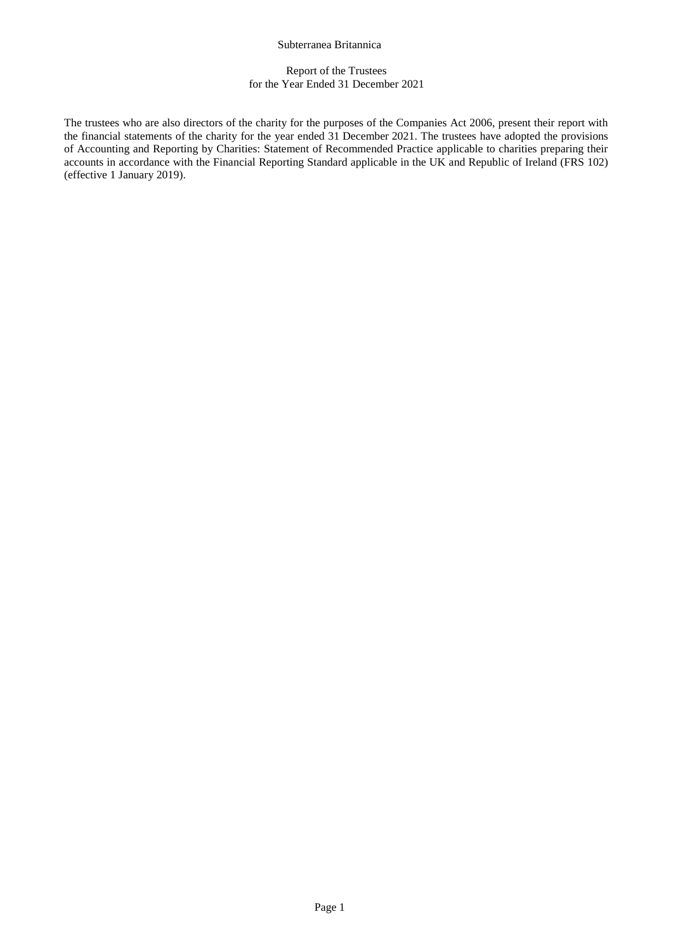# Report of the Trustees for the Year Ended 31 December 2021

The trustees who are also directors of the charity for the purposes of the Companies Act 2006, present their report with the financial statements of the charity for the year ended 31 December 2021. The trustees have adopted the provisions of Accounting and Reporting by Charities: Statement of Recommended Practice applicable to charities preparing their accounts in accordance with the Financial Reporting Standard applicable in the UK and Republic of Ireland (FRS 102) (effective 1 January 2019).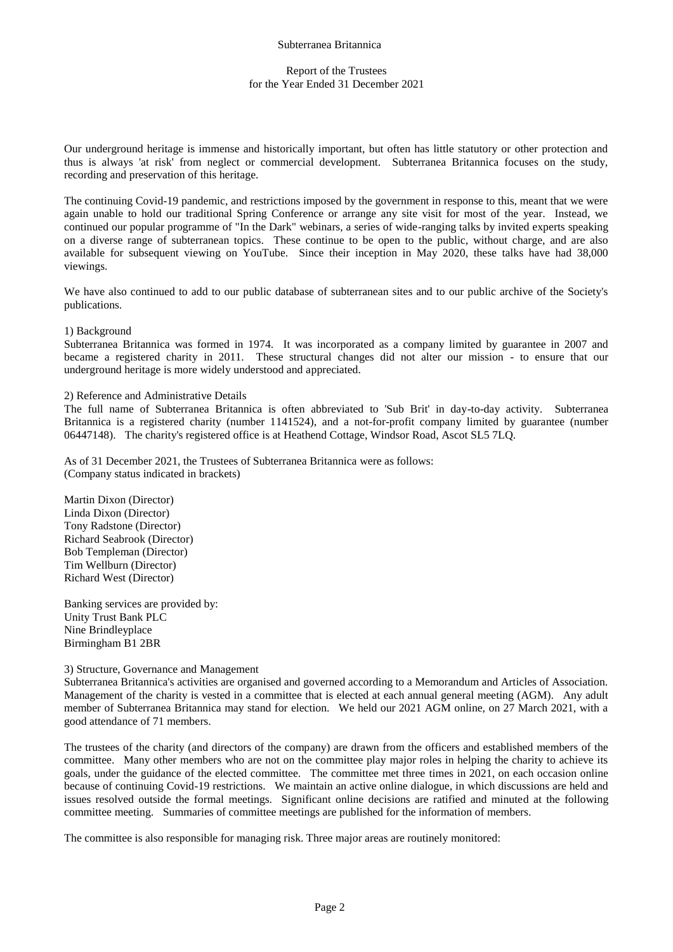# Report of the Trustees for the Year Ended 31 December 2021

Our underground heritage is immense and historically important, but often has little statutory or other protection and thus is always 'at risk' from neglect or commercial development. Subterranea Britannica focuses on the study, recording and preservation of this heritage.

The continuing Covid-19 pandemic, and restrictions imposed by the government in response to this, meant that we were again unable to hold our traditional Spring Conference or arrange any site visit for most of the year. Instead, we continued our popular programme of "In the Dark" webinars, a series of wide-ranging talks by invited experts speaking on a diverse range of subterranean topics. These continue to be open to the public, without charge, and are also available for subsequent viewing on YouTube. Since their inception in May 2020, these talks have had 38,000 viewings.

We have also continued to add to our public database of subterranean sites and to our public archive of the Society's publications.

#### 1) Background

Subterranea Britannica was formed in 1974. It was incorporated as a company limited by guarantee in 2007 and became a registered charity in 2011. These structural changes did not alter our mission - to ensure that our underground heritage is more widely understood and appreciated.

### 2) Reference and Administrative Details

The full name of Subterranea Britannica is often abbreviated to 'Sub Brit' in day-to-day activity. Subterranea Britannica is a registered charity (number 1141524), and a not-for-profit company limited by guarantee (number 06447148). The charity's registered office is at Heathend Cottage, Windsor Road, Ascot SL5 7LQ.

As of 31 December 2021, the Trustees of Subterranea Britannica were as follows: (Company status indicated in brackets)

Martin Dixon (Director) Linda Dixon (Director) Tony Radstone (Director) Richard Seabrook (Director) Bob Templeman (Director) Tim Wellburn (Director) Richard West (Director)

Banking services are provided by: Unity Trust Bank PLC Nine Brindleyplace Birmingham B1 2BR

#### 3) Structure, Governance and Management

Subterranea Britannica's activities are organised and governed according to a Memorandum and Articles of Association. Management of the charity is vested in a committee that is elected at each annual general meeting (AGM). Any adult member of Subterranea Britannica may stand for election. We held our 2021 AGM online, on 27 March 2021, with a good attendance of 71 members.

The trustees of the charity (and directors of the company) are drawn from the officers and established members of the committee. Many other members who are not on the committee play major roles in helping the charity to achieve its goals, under the guidance of the elected committee. The committee met three times in 2021, on each occasion online because of continuing Covid-19 restrictions. We maintain an active online dialogue, in which discussions are held and issues resolved outside the formal meetings. Significant online decisions are ratified and minuted at the following committee meeting. Summaries of committee meetings are published for the information of members.

The committee is also responsible for managing risk. Three major areas are routinely monitored: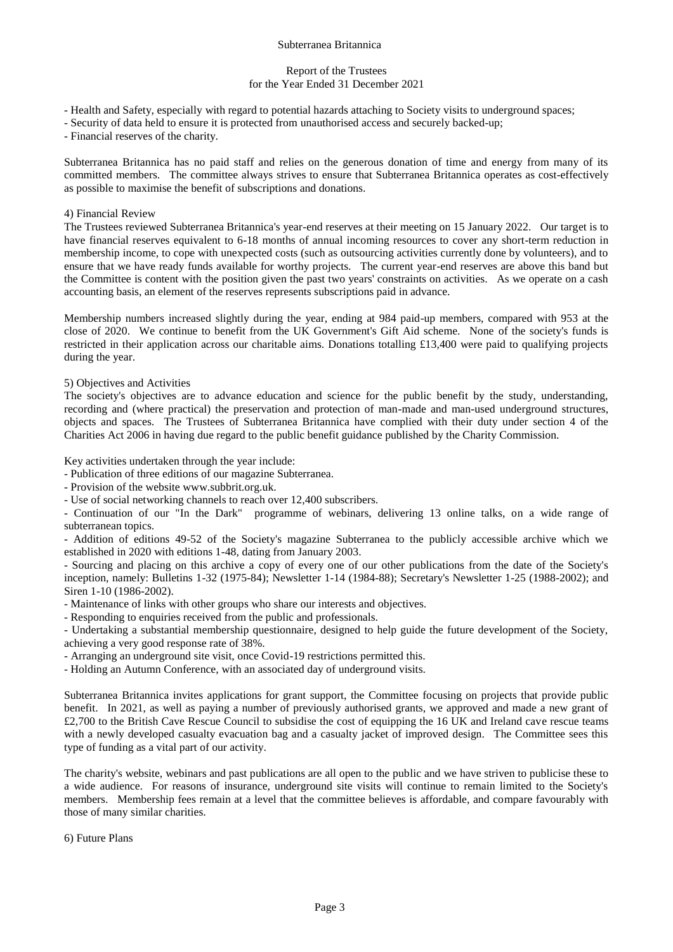# Report of the Trustees for the Year Ended 31 December 2021

- Health and Safety, especially with regard to potential hazards attaching to Society visits to underground spaces;
- Security of data held to ensure it is protected from unauthorised access and securely backed-up;

- Financial reserves of the charity.

Subterranea Britannica has no paid staff and relies on the generous donation of time and energy from many of its committed members. The committee always strives to ensure that Subterranea Britannica operates as cost-effectively as possible to maximise the benefit of subscriptions and donations.

# 4) Financial Review

The Trustees reviewed Subterranea Britannica's year-end reserves at their meeting on 15 January 2022. Our target is to have financial reserves equivalent to 6-18 months of annual incoming resources to cover any short-term reduction in membership income, to cope with unexpected costs (such as outsourcing activities currently done by volunteers), and to ensure that we have ready funds available for worthy projects. The current year-end reserves are above this band but the Committee is content with the position given the past two years' constraints on activities. As we operate on a cash accounting basis, an element of the reserves represents subscriptions paid in advance.

Membership numbers increased slightly during the year, ending at 984 paid-up members, compared with 953 at the close of 2020. We continue to benefit from the UK Government's Gift Aid scheme. None of the society's funds is restricted in their application across our charitable aims. Donations totalling £13,400 were paid to qualifying projects during the year.

### 5) Objectives and Activities

The society's objectives are to advance education and science for the public benefit by the study, understanding, recording and (where practical) the preservation and protection of man-made and man-used underground structures, objects and spaces. The Trustees of Subterranea Britannica have complied with their duty under section 4 of the Charities Act 2006 in having due regard to the public benefit guidance published by the Charity Commission.

Key activities undertaken through the year include:

- Publication of three editions of our magazine Subterranea.

- Provision of the website www.subbrit.org.uk.

- Use of social networking channels to reach over 12,400 subscribers.

- Continuation of our "In the Dark" programme of webinars, delivering 13 online talks, on a wide range of subterranean topics.

- Addition of editions 49-52 of the Society's magazine Subterranea to the publicly accessible archive which we established in 2020 with editions 1-48, dating from January 2003.

- Sourcing and placing on this archive a copy of every one of our other publications from the date of the Society's inception, namely: Bulletins 1-32 (1975-84); Newsletter 1-14 (1984-88); Secretary's Newsletter 1-25 (1988-2002); and Siren 1-10 (1986-2002).

- Maintenance of links with other groups who share our interests and objectives.

- Responding to enquiries received from the public and professionals.

- Undertaking a substantial membership questionnaire, designed to help guide the future development of the Society, achieving a very good response rate of 38%.

- Arranging an underground site visit, once Covid-19 restrictions permitted this.

- Holding an Autumn Conference, with an associated day of underground visits.

Subterranea Britannica invites applications for grant support, the Committee focusing on projects that provide public benefit. In 2021, as well as paying a number of previously authorised grants, we approved and made a new grant of £2,700 to the British Cave Rescue Council to subsidise the cost of equipping the 16 UK and Ireland cave rescue teams with a newly developed casualty evacuation bag and a casualty jacket of improved design. The Committee sees this type of funding as a vital part of our activity.

The charity's website, webinars and past publications are all open to the public and we have striven to publicise these to a wide audience. For reasons of insurance, underground site visits will continue to remain limited to the Society's members. Membership fees remain at a level that the committee believes is affordable, and compare favourably with those of many similar charities.

6) Future Plans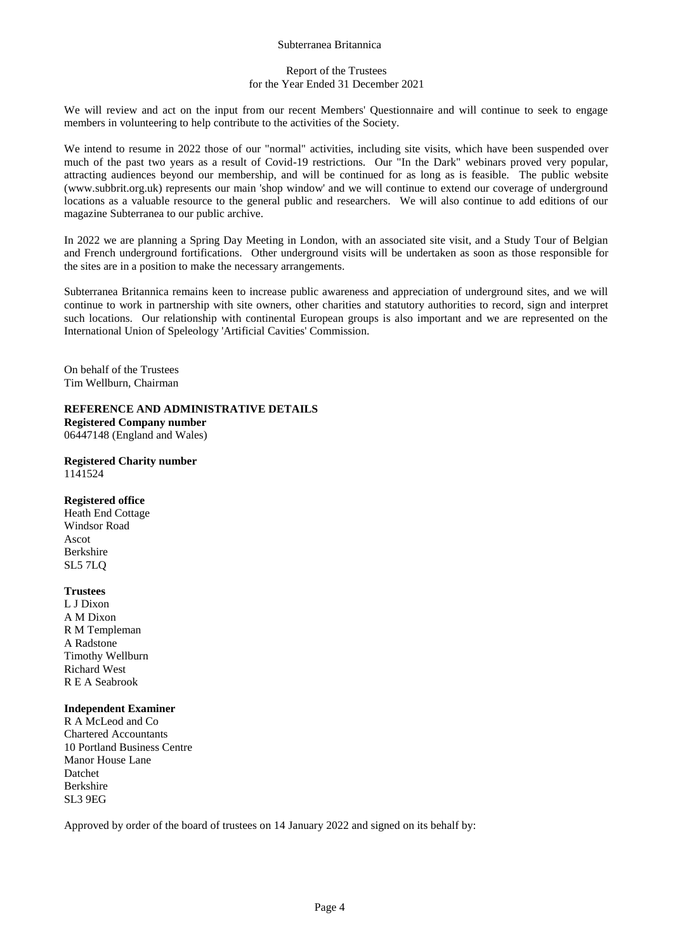# Report of the Trustees for the Year Ended 31 December 2021

We will review and act on the input from our recent Members' Questionnaire and will continue to seek to engage members in volunteering to help contribute to the activities of the Society.

We intend to resume in 2022 those of our "normal" activities, including site visits, which have been suspended over much of the past two years as a result of Covid-19 restrictions. Our "In the Dark" webinars proved very popular, attracting audiences beyond our membership, and will be continued for as long as is feasible. The public website (www.subbrit.org.uk) represents our main 'shop window' and we will continue to extend our coverage of underground locations as a valuable resource to the general public and researchers. We will also continue to add editions of our magazine Subterranea to our public archive.

In 2022 we are planning a Spring Day Meeting in London, with an associated site visit, and a Study Tour of Belgian and French underground fortifications. Other underground visits will be undertaken as soon as those responsible for the sites are in a position to make the necessary arrangements.

Subterranea Britannica remains keen to increase public awareness and appreciation of underground sites, and we will continue to work in partnership with site owners, other charities and statutory authorities to record, sign and interpret such locations. Our relationship with continental European groups is also important and we are represented on the International Union of Speleology 'Artificial Cavities' Commission.

On behalf of the Trustees Tim Wellburn, Chairman

### **REFERENCE AND ADMINISTRATIVE DETAILS**

**Registered Company number** 06447148 (England and Wales)

**Registered Charity number** 1141524

#### **Registered office**

Heath End Cottage Windsor Road Ascot Berkshire SL5 7LQ

#### **Trustees**

L J Dixon A M Dixon R M Templeman A Radstone Timothy Wellburn Richard West R E A Seabrook

#### **Independent Examiner**

R A McLeod and Co Chartered Accountants 10 Portland Business Centre Manor House Lane Datchet Berkshire SL3 9EG

Approved by order of the board of trustees on 14 January 2022 and signed on its behalf by: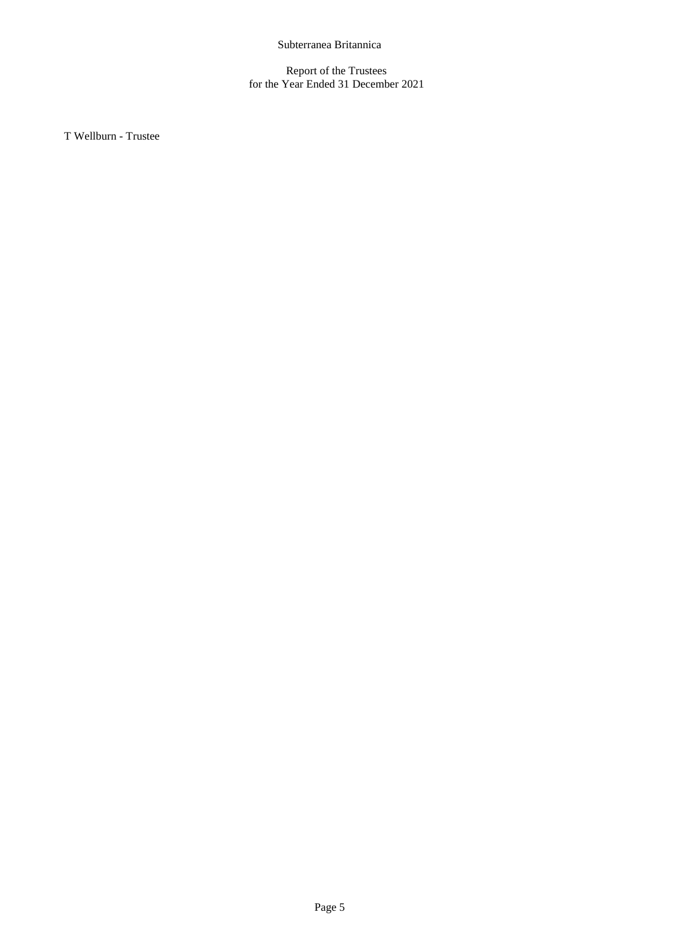Report of the Trustees for the Year Ended 31 December 2021

T Wellburn - Trustee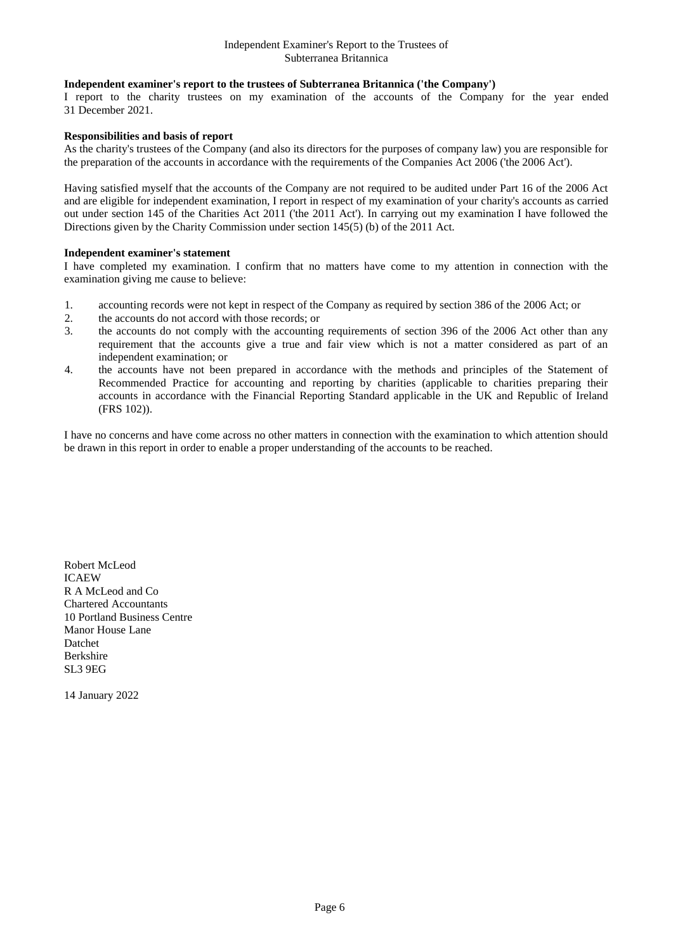# Independent Examiner's Report to the Trustees of Subterranea Britannica

# **Independent examiner's report to the trustees of Subterranea Britannica ('the Company')**

I report to the charity trustees on my examination of the accounts of the Company for the year ended 31 December 2021.

# **Responsibilities and basis of report**

As the charity's trustees of the Company (and also its directors for the purposes of company law) you are responsible for the preparation of the accounts in accordance with the requirements of the Companies Act 2006 ('the 2006 Act').

Having satisfied myself that the accounts of the Company are not required to be audited under Part 16 of the 2006 Act and are eligible for independent examination, I report in respect of my examination of your charity's accounts as carried out under section 145 of the Charities Act 2011 ('the 2011 Act'). In carrying out my examination I have followed the Directions given by the Charity Commission under section 145(5) (b) of the 2011 Act.

### **Independent examiner's statement**

I have completed my examination. I confirm that no matters have come to my attention in connection with the examination giving me cause to believe:

- 1. accounting records were not kept in respect of the Company as required by section 386 of the 2006 Act; or
- 2. the accounts do not accord with those records; or
- 3. the accounts do not comply with the accounting requirements of section 396 of the 2006 Act other than any requirement that the accounts give a true and fair view which is not a matter considered as part of an independent examination; or
- 4. the accounts have not been prepared in accordance with the methods and principles of the Statement of Recommended Practice for accounting and reporting by charities (applicable to charities preparing their accounts in accordance with the Financial Reporting Standard applicable in the UK and Republic of Ireland (FRS 102)).

I have no concerns and have come across no other matters in connection with the examination to which attention should be drawn in this report in order to enable a proper understanding of the accounts to be reached.

Robert McLeod ICAEW R A McLeod and Co Chartered Accountants 10 Portland Business Centre Manor House Lane Datchet Berkshire SL3 9EG

14 January 2022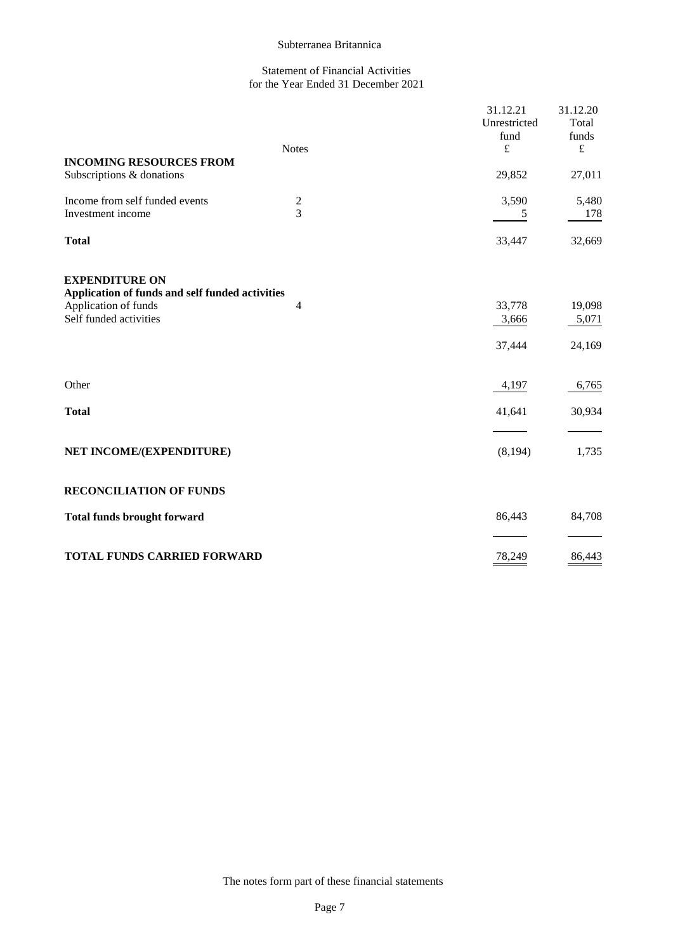# Statement of Financial Activities for the Year Ended 31 December 2021

|                                                                          | <b>Notes</b>                     | 31.12.21<br>Unrestricted<br>fund<br>$\pounds$ | 31.12.20<br>Total<br>funds<br>£ |
|--------------------------------------------------------------------------|----------------------------------|-----------------------------------------------|---------------------------------|
| <b>INCOMING RESOURCES FROM</b><br>Subscriptions & donations              |                                  | 29,852                                        | 27,011                          |
| Income from self funded events<br>Investment income                      | $\overline{c}$<br>$\overline{3}$ | 3,590<br>5                                    | 5,480<br>178                    |
| <b>Total</b>                                                             |                                  | 33,447                                        | 32,669                          |
| <b>EXPENDITURE ON</b><br>Application of funds and self funded activities |                                  |                                               |                                 |
| Application of funds                                                     | $\overline{4}$                   | 33,778                                        | 19,098                          |
| Self funded activities                                                   |                                  | 3,666                                         | 5,071                           |
|                                                                          |                                  | 37,444                                        | 24,169                          |
| Other                                                                    |                                  | 4,197                                         | 6,765                           |
| <b>Total</b>                                                             |                                  | 41,641                                        | 30,934                          |
| NET INCOME/(EXPENDITURE)                                                 |                                  | (8,194)                                       | 1,735                           |
| <b>RECONCILIATION OF FUNDS</b>                                           |                                  |                                               |                                 |
| <b>Total funds brought forward</b>                                       |                                  | 86,443                                        | 84,708                          |
| <b>TOTAL FUNDS CARRIED FORWARD</b>                                       |                                  | 78,249                                        | 86,443                          |

The notes form part of these financial statements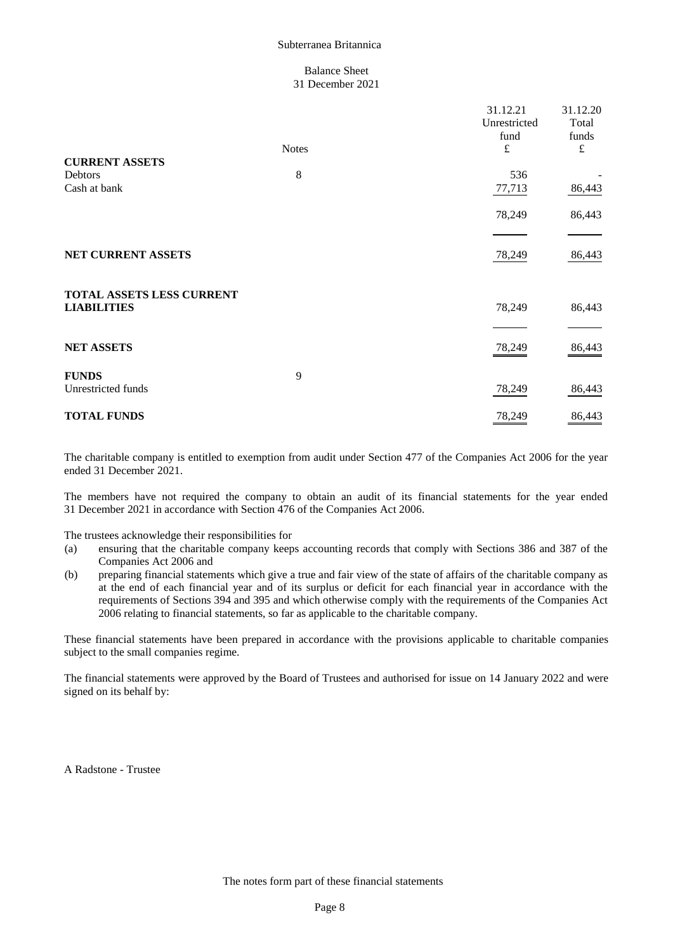#### Balance Sheet 31 December 2021

|                           |              | 31.12.21<br>Unrestricted<br>fund | 31.12.20<br>Total<br>funds |
|---------------------------|--------------|----------------------------------|----------------------------|
|                           | <b>Notes</b> | £                                | $\pounds$                  |
| <b>CURRENT ASSETS</b>     |              |                                  |                            |
| Debtors                   | 8            | 536                              |                            |
| Cash at bank              |              | 77,713                           | 86,443                     |
|                           |              | 78,249                           | 86,443                     |
|                           |              |                                  |                            |
| NET CURRENT ASSETS        |              | 78,249                           | 86,443                     |
| TOTAL ASSETS LESS CURRENT |              |                                  |                            |
| <b>LIABILITIES</b>        |              | 78,249                           | 86,443                     |
|                           |              |                                  |                            |
| <b>NET ASSETS</b>         |              | 78,249                           | 86,443                     |
| <b>FUNDS</b>              | 9            |                                  |                            |
| Unrestricted funds        |              | 78,249                           | 86,443                     |
| <b>TOTAL FUNDS</b>        |              | 78,249                           | 86,443                     |

The charitable company is entitled to exemption from audit under Section 477 of the Companies Act 2006 for the year ended 31 December 2021.

The members have not required the company to obtain an audit of its financial statements for the year ended 31 December 2021 in accordance with Section 476 of the Companies Act 2006.

The trustees acknowledge their responsibilities for

- (a) ensuring that the charitable company keeps accounting records that comply with Sections 386 and 387 of the Companies Act 2006 and
- (b) preparing financial statements which give a true and fair view of the state of affairs of the charitable company as at the end of each financial year and of its surplus or deficit for each financial year in accordance with the requirements of Sections 394 and 395 and which otherwise comply with the requirements of the Companies Act 2006 relating to financial statements, so far as applicable to the charitable company.

These financial statements have been prepared in accordance with the provisions applicable to charitable companies subject to the small companies regime.

The financial statements were approved by the Board of Trustees and authorised for issue on 14 January 2022 and were signed on its behalf by:

A Radstone - Trustee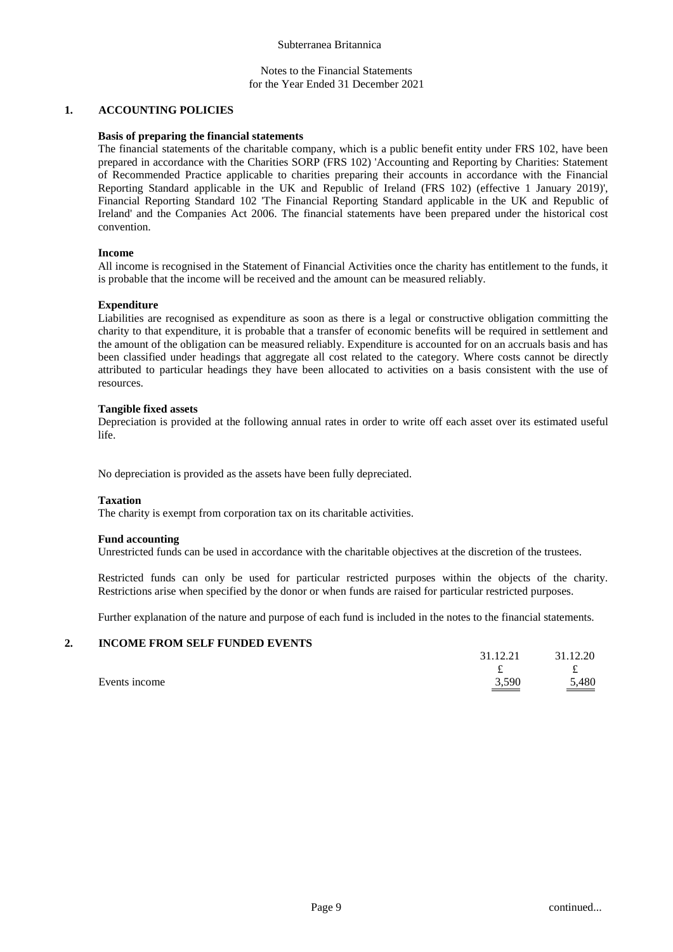Notes to the Financial Statements for the Year Ended 31 December 2021

# **1. ACCOUNTING POLICIES**

# **Basis of preparing the financial statements**

The financial statements of the charitable company, which is a public benefit entity under FRS 102, have been prepared in accordance with the Charities SORP (FRS 102) 'Accounting and Reporting by Charities: Statement of Recommended Practice applicable to charities preparing their accounts in accordance with the Financial Reporting Standard applicable in the UK and Republic of Ireland (FRS 102) (effective 1 January 2019)', Financial Reporting Standard 102 'The Financial Reporting Standard applicable in the UK and Republic of Ireland' and the Companies Act 2006. The financial statements have been prepared under the historical cost convention.

### **Income**

All income is recognised in the Statement of Financial Activities once the charity has entitlement to the funds, it is probable that the income will be received and the amount can be measured reliably.

# **Expenditure**

Liabilities are recognised as expenditure as soon as there is a legal or constructive obligation committing the charity to that expenditure, it is probable that a transfer of economic benefits will be required in settlement and the amount of the obligation can be measured reliably. Expenditure is accounted for on an accruals basis and has been classified under headings that aggregate all cost related to the category. Where costs cannot be directly attributed to particular headings they have been allocated to activities on a basis consistent with the use of resources.

### **Tangible fixed assets**

Depreciation is provided at the following annual rates in order to write off each asset over its estimated useful life.

No depreciation is provided as the assets have been fully depreciated.

#### **Taxation**

The charity is exempt from corporation tax on its charitable activities.

# **Fund accounting**

Unrestricted funds can be used in accordance with the charitable objectives at the discretion of the trustees.

Restricted funds can only be used for particular restricted purposes within the objects of the charity. Restrictions arise when specified by the donor or when funds are raised for particular restricted purposes.

Further explanation of the nature and purpose of each fund is included in the notes to the financial statements.

# **2. INCOME FROM SELF FUNDED EVENTS**

|               | 31.12.21                   | 31.12.20            |
|---------------|----------------------------|---------------------|
|               | ىە                         | $\sim$              |
| Events income | 3,590<br>$\equiv$ $\equiv$ | $\underline{5,480}$ |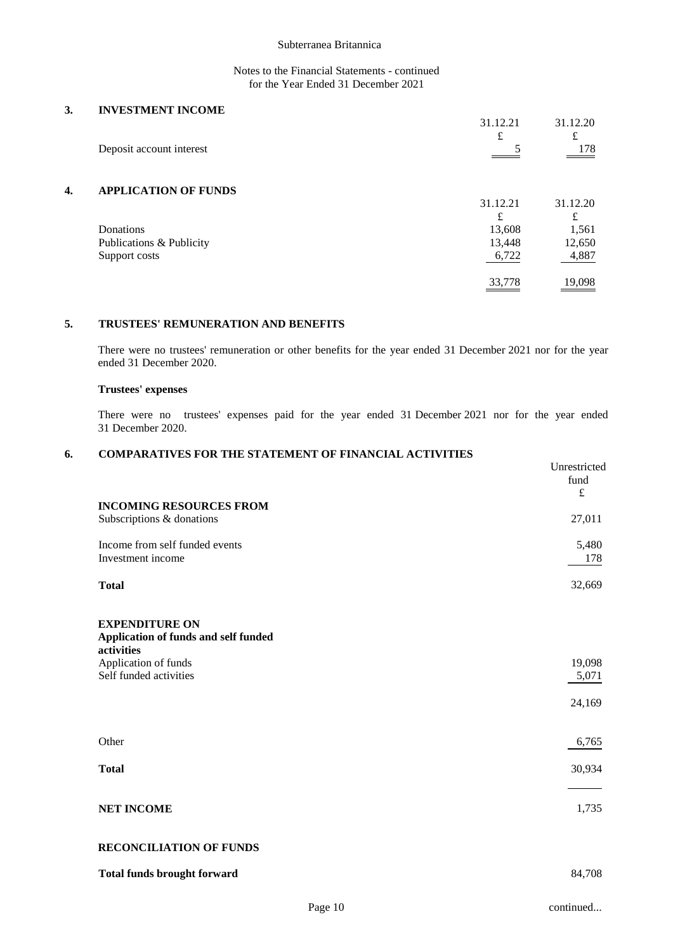# Notes to the Financial Statements - continued for the Year Ended 31 December 2021

# **3. INVESTMENT INCOME**

|                             | 31.12.21 | 31.12.20                |
|-----------------------------|----------|-------------------------|
| Deposit account interest    |          | 178                     |
| <b>APPLICATION OF FUNDS</b> |          |                         |
|                             |          | 31.12.20                |
|                             | £        |                         |
| Donations                   |          | 1,561                   |
| Publications & Publicity    | 13,448   | 12,650                  |
| Support costs               | 6,722    | 4,887                   |
|                             | 33,778   | 19,098                  |
|                             |          | £<br>31.12.21<br>13,608 |

# **5. TRUSTEES' REMUNERATION AND BENEFITS**

There were no trustees' remuneration or other benefits for the year ended 31 December 2021 nor for the year ended 31 December 2020.

#### **Trustees' expenses**

There were no trustees' expenses paid for the year ended 31 December 2021 nor for the year ended 31 December 2020.

# **6. COMPARATIVES FOR THE STATEMENT OF FINANCIAL ACTIVITIES**

|                                                                                                                               | Unrestricted<br>fund<br>$\pounds$ |
|-------------------------------------------------------------------------------------------------------------------------------|-----------------------------------|
| <b>INCOMING RESOURCES FROM</b><br>Subscriptions & donations                                                                   | 27,011                            |
| Income from self funded events<br>Investment income                                                                           | 5,480<br>178                      |
| <b>Total</b>                                                                                                                  | 32,669                            |
| <b>EXPENDITURE ON</b><br>Application of funds and self funded<br>activities<br>Application of funds<br>Self funded activities | 19,098<br>5,071<br>24,169         |
| Other                                                                                                                         | 6,765                             |
| <b>Total</b>                                                                                                                  | 30,934                            |
| <b>NET INCOME</b>                                                                                                             | 1,735                             |
| <b>RECONCILIATION OF FUNDS</b>                                                                                                |                                   |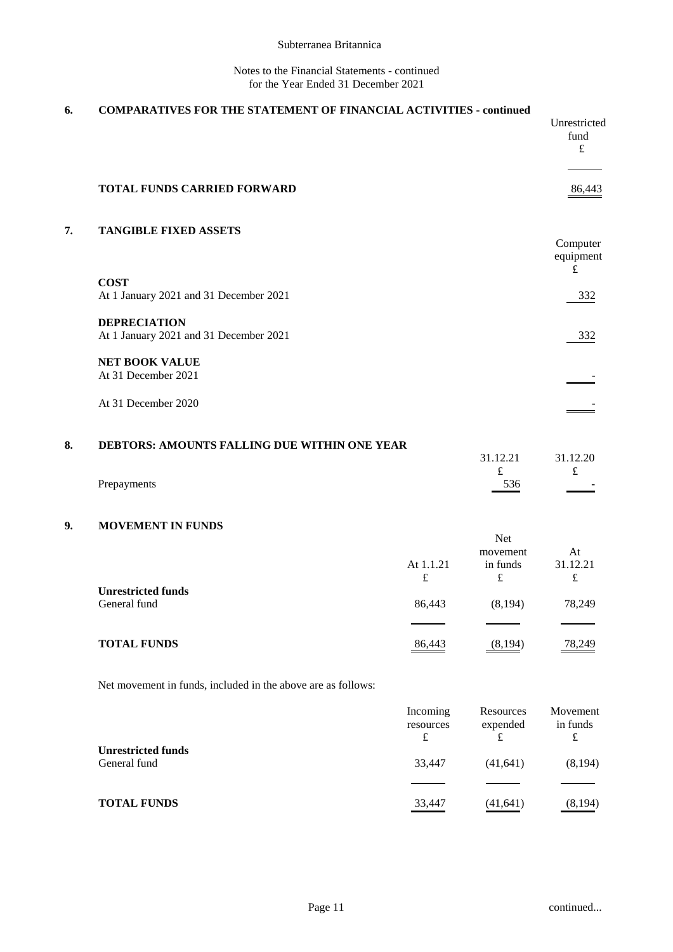# Notes to the Financial Statements - continued for the Year Ended 31 December 2021

# **6. COMPARATIVES FOR THE STATEMENT OF FINANCIAL ACTIVITIES - continued**  Unrestricted fund £ **TOTAL FUNDS CARRIED FORWARD** 86,443 **7. TANGIBLE FIXED ASSETS**  Computer equipment £ **COST** At 1 January 2021 and 31 December 2021 332 **DEPRECIATION** At 1 January 2021 and 31 December 2021 332 **NET BOOK VALUE** At 31 December 2021 At 31 December 2020  $\blacksquare$ **8. DEBTORS: AMOUNTS FALLING DUE WITHIN ONE YEAR**  31.12.21 31.12.20 £ £ Prepayments 536 - 536 - 536 - 536 - 536 - 536 - 536 - 536 - 536 - 537 - 537 - 537 - 537 - 537 - 537 - 537 - 537 - 537 - 537 - 537 - 537 - 537 - 537 - 537 - 537 - 537 - 537 - 537 - 537 - 537 - 537 - 537 - 537 - 537 - 537 - **9. MOVEMENT IN FUNDS**  Net

|                                           | At 1.1.21<br>£ | movement<br>in funds<br>£ | At<br>31.12.21<br>£ |
|-------------------------------------------|----------------|---------------------------|---------------------|
| <b>Unrestricted funds</b><br>General fund | 86,443         | (8, 194)                  | 78,249              |
| <b>TOTAL FUNDS</b>                        | 86,443         | (8,194)                   | 78,249              |

Net movement in funds, included in the above are as follows:

|                                           | Incoming<br>resources<br>£ | Resources<br>expended | Movement<br>in funds<br>£ |
|-------------------------------------------|----------------------------|-----------------------|---------------------------|
| <b>Unrestricted funds</b><br>General fund | 33,447                     | (41, 641)             | (8,194)                   |
| <b>TOTAL FUNDS</b>                        | 33,447                     | (41,641)              | (8,194)                   |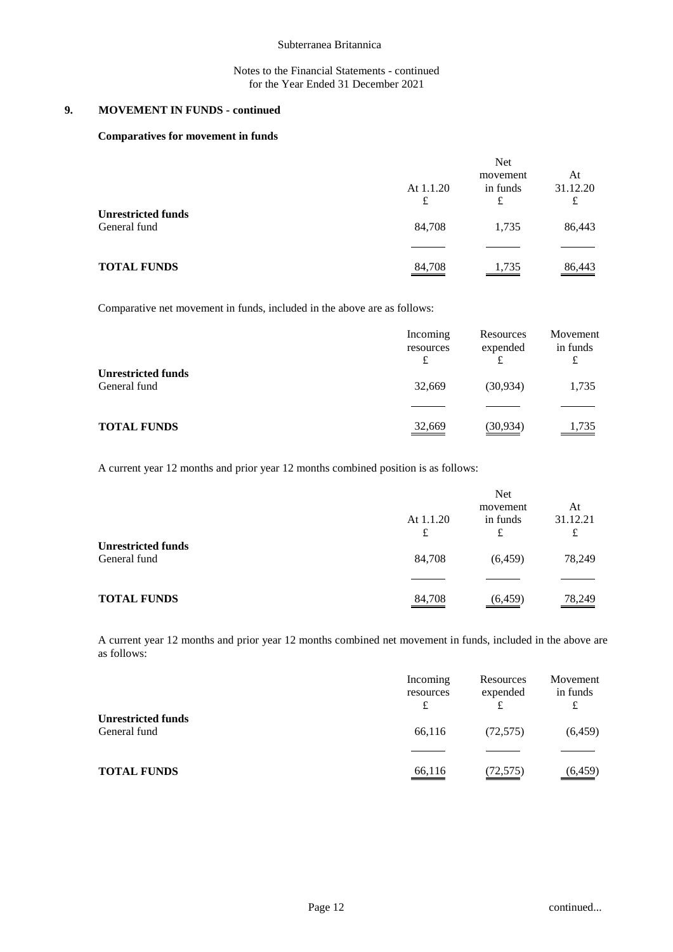# Notes to the Financial Statements - continued for the Year Ended 31 December 2021

# **9. MOVEMENT IN FUNDS - continued**

# **Comparatives for movement in funds**

|                                           |                | <b>Net</b>                |                     |
|-------------------------------------------|----------------|---------------------------|---------------------|
|                                           | At 1.1.20<br>£ | movement<br>in funds<br>£ | At<br>31.12.20<br>£ |
| <b>Unrestricted funds</b><br>General fund | 84,708         | 1,735                     | 86,443              |
|                                           |                |                           |                     |
| <b>TOTAL FUNDS</b>                        | 84,708         | 1,735                     | 86,443              |

Comparative net movement in funds, included in the above are as follows:

|                                           | Incoming<br>resources<br>£ | Resources<br>expended | Movement<br>in funds |
|-------------------------------------------|----------------------------|-----------------------|----------------------|
| <b>Unrestricted funds</b><br>General fund | 32.669                     | (30,934)              | 1,735                |
| <b>TOTAL FUNDS</b>                        | 32,669                     | (30,934)              | 1,735                |

A current year 12 months and prior year 12 months combined position is as follows:

|                                           |                | Net                       |                     |
|-------------------------------------------|----------------|---------------------------|---------------------|
|                                           | At 1.1.20<br>£ | movement<br>in funds<br>£ | At<br>31.12.21<br>£ |
| <b>Unrestricted funds</b><br>General fund | 84,708         | (6, 459)                  | 78,249              |
|                                           |                |                           |                     |
| <b>TOTAL FUNDS</b>                        | 84,708         | (6, 459)                  | 78,249              |

A current year 12 months and prior year 12 months combined net movement in funds, included in the above are as follows:

|                                           | Incoming<br>resources<br>£ | Resources<br>expended<br>£ | Movement<br>in funds<br>£ |
|-------------------------------------------|----------------------------|----------------------------|---------------------------|
| <b>Unrestricted funds</b><br>General fund | 66,116                     | (72, 575)                  | (6, 459)                  |
| <b>TOTAL FUNDS</b>                        | 66,116                     | (72,575)                   | (6, 459)                  |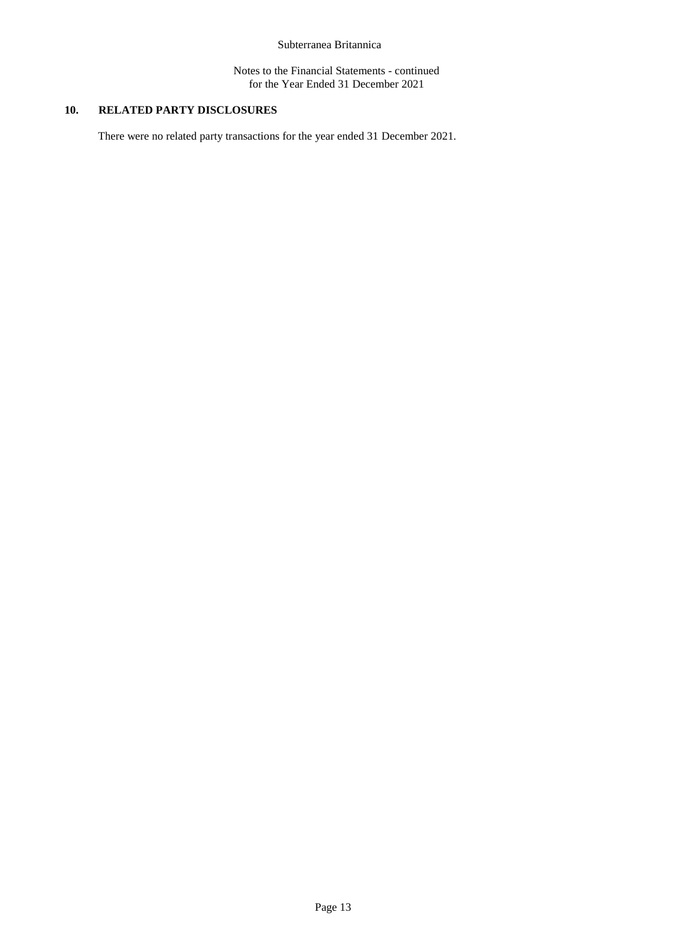Notes to the Financial Statements - continued for the Year Ended 31 December 2021

# **10. RELATED PARTY DISCLOSURES**

There were no related party transactions for the year ended 31 December 2021.